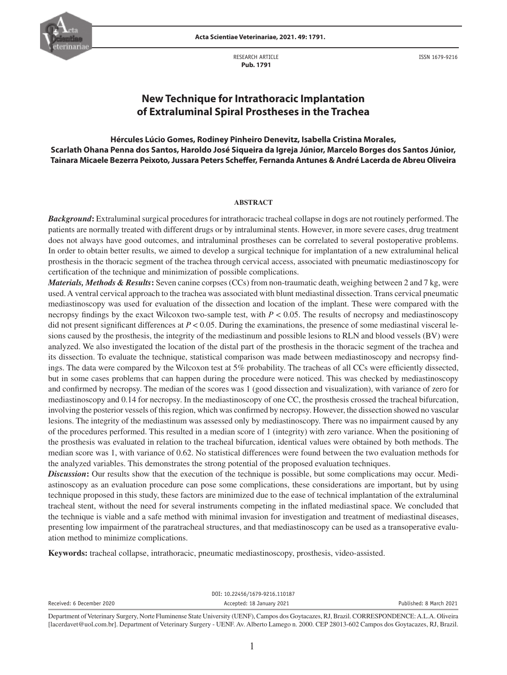

**Acta Scientiae Veterinariae, 2021. 49: 1791.**

RESEARCH ARTICLE  **Pub. 1791**

ISSN 1679-9216

# **New Technique for Intrathoracic Implantation of Extraluminal Spiral Prostheses in the Trachea**

**Hércules Lúcio Gomes, Rodiney Pinheiro Denevitz, Isabella Cristina Morales, Scarlath Ohana Penna dos Santos, Haroldo José Siqueira da Igreja Júnior, Marcelo Borges dos Santos Júnior, Tainara Micaele Bezerra Peixoto, Jussara Peters Scheffer, Fernanda Antunes & André Lacerda de Abreu Oliveira**

### **ABSTRACT**

*Background***:** Extraluminal surgical procedures for intrathoracic tracheal collapse in dogs are not routinely performed. The patients are normally treated with different drugs or by intraluminal stents. However, in more severe cases, drug treatment does not always have good outcomes, and intraluminal prostheses can be correlated to several postoperative problems. In order to obtain better results, we aimed to develop a surgical technique for implantation of a new extraluminal helical prosthesis in the thoracic segment of the trachea through cervical access, associated with pneumatic mediastinoscopy for certification of the technique and minimization of possible complications.

*Materials, Methods & Results***:** Seven canine corpses (CCs) from non-traumatic death, weighing between 2 and 7 kg, were used. A ventral cervical approach to the trachea was associated with blunt mediastinal dissection. Trans cervical pneumatic mediastinoscopy was used for evaluation of the dissection and location of the implant. These were compared with the necropsy findings by the exact Wilcoxon two-sample test, with  $P < 0.05$ . The results of necropsy and mediastinoscopy did not present significant differences at  $P < 0.05$ . During the examinations, the presence of some mediastinal visceral lesions caused by the prosthesis, the integrity of the mediastinum and possible lesions to RLN and blood vessels (BV) were analyzed. We also investigated the location of the distal part of the prosthesis in the thoracic segment of the trachea and its dissection. To evaluate the technique, statistical comparison was made between mediastinoscopy and necropsy findings. The data were compared by the Wilcoxon test at 5% probability. The tracheas of all CCs were efficiently dissected, but in some cases problems that can happen during the procedure were noticed. This was checked by mediastinoscopy and confirmed by necropsy. The median of the scores was 1 (good dissection and visualization), with variance of zero for mediastinoscopy and 0.14 for necropsy. In the mediastinoscopy of one CC, the prosthesis crossed the tracheal bifurcation, involving the posterior vessels of this region, which was confirmed by necropsy. However, the dissection showed no vascular lesions. The integrity of the mediastinum was assessed only by mediastinoscopy. There was no impairment caused by any of the procedures performed. This resulted in a median score of 1 (integrity) with zero variance. When the positioning of the prosthesis was evaluated in relation to the tracheal bifurcation, identical values were obtained by both methods. The median score was 1, with variance of 0.62. No statistical differences were found between the two evaluation methods for the analyzed variables. This demonstrates the strong potential of the proposed evaluation techniques.

*Discussion***:** Our results show that the execution of the technique is possible, but some complications may occur. Mediastinoscopy as an evaluation procedure can pose some complications, these considerations are important, but by using technique proposed in this study, these factors are minimized due to the ease of technical implantation of the extraluminal tracheal stent, without the need for several instruments competing in the inflated mediastinal space. We concluded that the technique is viable and a safe method with minimal invasion for investigation and treatment of mediastinal diseases, presenting low impairment of the paratracheal structures, and that mediastinoscopy can be used as a transoperative evaluation method to minimize complications.

**Keywords:** tracheal collapse, intrathoracic, pneumatic mediastinoscopy, prosthesis, video-assisted.

|                           | DOI: 10.22456/1679-9216.110187                                                                                                                     |                         |
|---------------------------|----------------------------------------------------------------------------------------------------------------------------------------------------|-------------------------|
| Received: 6 December 2020 | Accepted: 18 January 2021                                                                                                                          | Published: 8 March 2021 |
|                           | Department of Veteringer: Current North Eluminance Ctota University (UENE), Compass des Contegences, DJ, Dregil, CODDECDONDENCE, A.J., A. Oliveira |                         |

Department of Veterinary Surgery, Norte Fluminense State University (UENF), Campos dos Goytacazes, RJ, Brazil. CORRESPONDENCE: A.L.A. Oliveira [lacerdavet@uol.com.br]. Department of Veterinary Surgery - UENF. Av. Alberto Lamego n. 2000. CEP 28013-602 Campos dos Goytacazes, RJ, Brazil.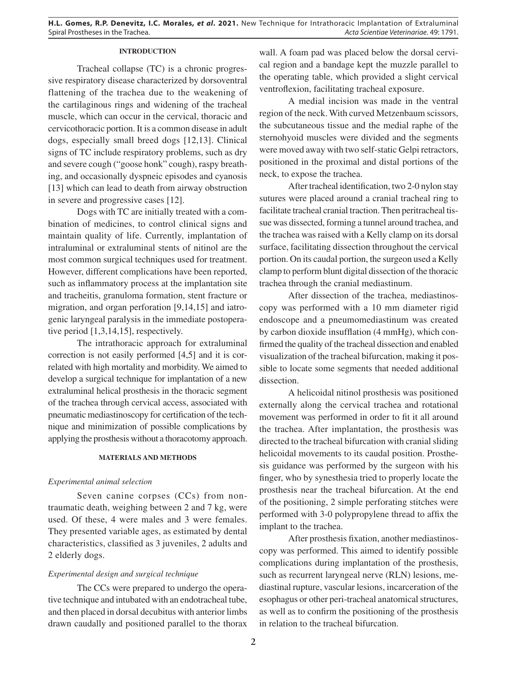## **INTRODUCTION**

Tracheal collapse (TC) is a chronic progressive respiratory disease characterized by dorsoventral flattening of the trachea due to the weakening of the cartilaginous rings and widening of the tracheal muscle, which can occur in the cervical, thoracic and cervicothoracic portion. It is a common disease in adult dogs, especially small breed dogs [12,13]. Clinical signs of TC include respiratory problems, such as dry and severe cough ("goose honk" cough), raspy breathing, and occasionally dyspneic episodes and cyanosis [13] which can lead to death from airway obstruction in severe and progressive cases [12].

Dogs with TC are initially treated with a combination of medicines, to control clinical signs and maintain quality of life. Currently, implantation of intraluminal or extraluminal stents of nitinol are the most common surgical techniques used for treatment. However, different complications have been reported, such as inflammatory process at the implantation site and tracheitis, granuloma formation, stent fracture or migration, and organ perforation [9,14,15] and iatrogenic laryngeal paralysis in the immediate postoperative period [1,3,14,15], respectively.

The intrathoracic approach for extraluminal correction is not easily performed [4,5] and it is correlated with high mortality and morbidity. We aimed to develop a surgical technique for implantation of a new extraluminal helical prosthesis in the thoracic segment of the trachea through cervical access, associated with pneumatic mediastinoscopy for certification of the technique and minimization of possible complications by applying the prosthesis without a thoracotomy approach.

## **MATERIALS AND METHODS**

## *Experimental animal selection*

Seven canine corpses (CCs) from nontraumatic death, weighing between 2 and 7 kg, were used. Of these, 4 were males and 3 were females. They presented variable ages, as estimated by dental characteristics, classified as 3 juveniles, 2 adults and 2 elderly dogs.

# *Experimental design and surgical technique*

The CCs were prepared to undergo the operative technique and intubated with an endotracheal tube, and then placed in dorsal decubitus with anterior limbs drawn caudally and positioned parallel to the thorax

wall. A foam pad was placed below the dorsal cervical region and a bandage kept the muzzle parallel to the operating table, which provided a slight cervical ventroflexion, facilitating tracheal exposure.

A medial incision was made in the ventral region of the neck. With curved Metzenbaum scissors, the subcutaneous tissue and the medial raphe of the sternohyoid muscles were divided and the segments were moved away with two self-static Gelpi retractors, positioned in the proximal and distal portions of the neck, to expose the trachea.

After tracheal identification, two 2-0 nylon stay sutures were placed around a cranial tracheal ring to facilitate tracheal cranial traction. Then peritracheal tissue was dissected, forming a tunnel around trachea, and the trachea was raised with a Kelly clamp on its dorsal surface, facilitating dissection throughout the cervical portion. On its caudal portion, the surgeon used a Kelly clamp to perform blunt digital dissection of the thoracic trachea through the cranial mediastinum.

After dissection of the trachea, mediastinoscopy was performed with a 10 mm diameter rigid endoscope and a pneumomediastinum was created by carbon dioxide insufflation (4 mmHg), which confirmed the quality of the tracheal dissection and enabled visualization of the tracheal bifurcation, making it possible to locate some segments that needed additional dissection.

A helicoidal nitinol prosthesis was positioned externally along the cervical trachea and rotational movement was performed in order to fit it all around the trachea. After implantation, the prosthesis was directed to the tracheal bifurcation with cranial sliding helicoidal movements to its caudal position. Prosthesis guidance was performed by the surgeon with his finger, who by synesthesia tried to properly locate the prosthesis near the tracheal bifurcation. At the end of the positioning, 2 simple perforating stitches were performed with 3-0 polypropylene thread to affix the implant to the trachea.

After prosthesis fixation, another mediastinoscopy was performed. This aimed to identify possible complications during implantation of the prosthesis, such as recurrent laryngeal nerve (RLN) lesions, mediastinal rupture, vascular lesions, incarceration of the esophagus or other peri-tracheal anatomical structures, as well as to confirm the positioning of the prosthesis in relation to the tracheal bifurcation.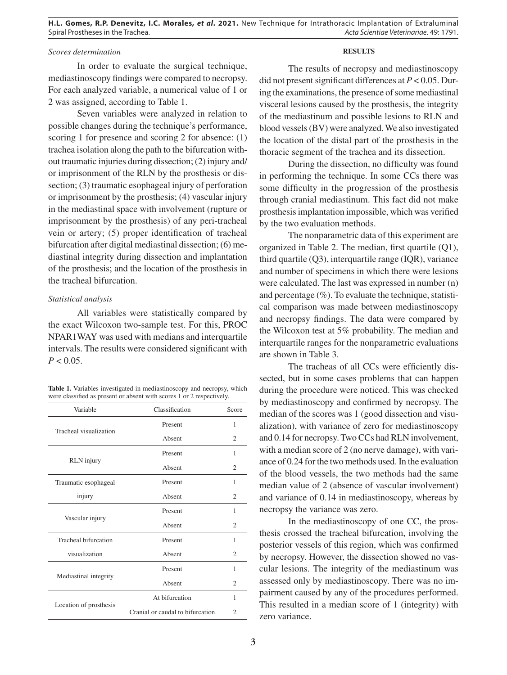**H.L. Gomes, R.P. Denevitz, I.C. Morales,** *et al***. 2021.** New Technique for Intrathoracic Implantation of Extraluminal Spiral Prostheses in the Trachea. *Acta Scientiae Veterinariae*. 49: 1791.

# *Scores determination*

In order to evaluate the surgical technique, mediastinoscopy findings were compared to necropsy. For each analyzed variable, a numerical value of 1 or 2 was assigned, according to Table 1.

Seven variables were analyzed in relation to possible changes during the technique's performance, scoring 1 for presence and scoring 2 for absence: (1) trachea isolation along the path to the bifurcation without traumatic injuries during dissection; (2) injury and/ or imprisonment of the RLN by the prosthesis or dissection; (3) traumatic esophageal injury of perforation or imprisonment by the prosthesis; (4) vascular injury in the mediastinal space with involvement (rupture or imprisonment by the prosthesis) of any peri-tracheal vein or artery; (5) proper identification of tracheal bifurcation after digital mediastinal dissection; (6) mediastinal integrity during dissection and implantation of the prosthesis; and the location of the prosthesis in the tracheal bifurcation.

## *Statistical analysis*

All variables were statistically compared by the exact Wilcoxon two-sample test. For this, PROC NPAR1WAY was used with medians and interquartile intervals. The results were considered significant with  $P < 0.05$ .

| Table 1. Variables investigated in mediastinoscopy and necropsy, which |
|------------------------------------------------------------------------|
| were classified as present or absent with scores 1 or 2 respectively.  |

| Variable               | Classification                   | Score                       |
|------------------------|----------------------------------|-----------------------------|
| Tracheal visualization | Present                          | 1                           |
|                        | Absent                           | $\overline{c}$              |
|                        | Present                          | 1                           |
| RLN injury             | Absent                           | $\overline{c}$              |
| Traumatic esophageal   | Present                          | 1                           |
| injury                 | Absent                           | $\overline{c}$              |
|                        | Present                          | 1                           |
| Vascular injury        | Absent                           | $\overline{c}$              |
| Tracheal bifurcation   | Present                          | 1                           |
| visualization          | Absent                           | 2                           |
|                        | Present                          | 1                           |
| Mediastinal integrity  | Absent                           | $\overline{c}$              |
|                        | At bifurcation                   | 1                           |
| Location of prosthesis | Cranial or caudal to bifurcation | $\mathcal{D}_{\mathcal{L}}$ |

#### **RESULTS**

The results of necropsy and mediastinoscopy did not present significant differences at *P* < 0.05. During the examinations, the presence of some mediastinal visceral lesions caused by the prosthesis, the integrity of the mediastinum and possible lesions to RLN and blood vessels (BV) were analyzed. We also investigated the location of the distal part of the prosthesis in the thoracic segment of the trachea and its dissection.

During the dissection, no difficulty was found in performing the technique. In some CCs there was some difficulty in the progression of the prosthesis through cranial mediastinum. This fact did not make prosthesis implantation impossible, which was verified by the two evaluation methods.

The nonparametric data of this experiment are organized in Table 2. The median, first quartile (Q1), third quartile (Q3), interquartile range (IQR), variance and number of specimens in which there were lesions were calculated. The last was expressed in number (n) and percentage (%). To evaluate the technique, statistical comparison was made between mediastinoscopy and necropsy findings. The data were compared by the Wilcoxon test at 5% probability. The median and interquartile ranges for the nonparametric evaluations are shown in Table 3.

The tracheas of all CCs were efficiently dissected, but in some cases problems that can happen during the procedure were noticed. This was checked by mediastinoscopy and confirmed by necropsy. The median of the scores was 1 (good dissection and visualization), with variance of zero for mediastinoscopy and 0.14 for necropsy. Two CCs had RLN involvement, with a median score of 2 (no nerve damage), with variance of 0.24 for the two methods used. In the evaluation of the blood vessels, the two methods had the same median value of 2 (absence of vascular involvement) and variance of 0.14 in mediastinoscopy, whereas by necropsy the variance was zero.

In the mediastinoscopy of one CC, the prosthesis crossed the tracheal bifurcation, involving the posterior vessels of this region, which was confirmed by necropsy. However, the dissection showed no vascular lesions. The integrity of the mediastinum was assessed only by mediastinoscopy. There was no impairment caused by any of the procedures performed. This resulted in a median score of 1 (integrity) with zero variance.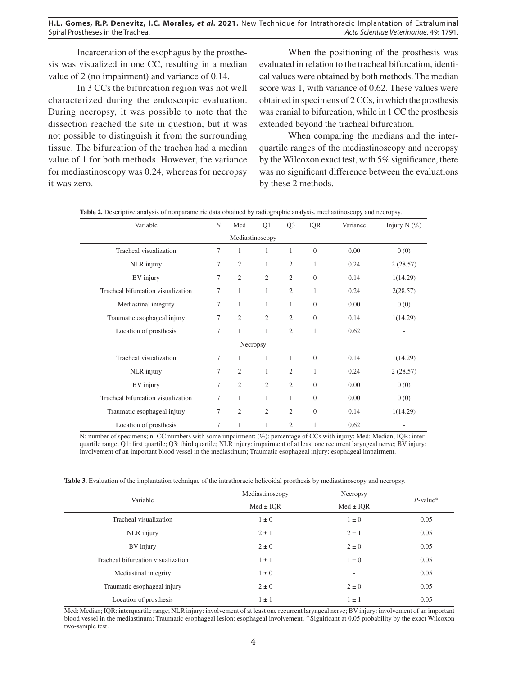Incarceration of the esophagus by the prosthesis was visualized in one CC, resulting in a median value of 2 (no impairment) and variance of 0.14.

In 3 CCs the bifurcation region was not well characterized during the endoscopic evaluation. During necropsy, it was possible to note that the dissection reached the site in question, but it was not possible to distinguish it from the surrounding tissue. The bifurcation of the trachea had a median value of 1 for both methods. However, the variance for mediastinoscopy was 0.24, whereas for necropsy it was zero.

When the positioning of the prosthesis was evaluated in relation to the tracheal bifurcation, identical values were obtained by both methods. The median score was 1, with variance of 0.62. These values were obtained in specimens of 2 CCs, in which the prosthesis was cranial to bifurcation, while in 1 CC the prosthesis extended beyond the tracheal bifurcation.

When comparing the medians and the interquartile ranges of the mediastinoscopy and necropsy by the Wilcoxon exact test, with 5% significance, there was no significant difference between the evaluations by these 2 methods.

| Variable                           | N      | Med            | Q1             | Q <sub>3</sub> | <b>IQR</b>     | Variance | Injury N $(\% )$ |
|------------------------------------|--------|----------------|----------------|----------------|----------------|----------|------------------|
| Mediastinoscopy                    |        |                |                |                |                |          |                  |
| Tracheal visualization             | 7      | 1              | 1              | 1              | $\Omega$       | 0.00     | 0(0)             |
| NLR injury                         | 7      | $\overline{2}$ | 1              | $\overline{2}$ | $\mathbf{1}$   | 0.24     | 2(28.57)         |
| BV injury                          | 7      | $\overline{c}$ | $\mathfrak{2}$ | $\overline{c}$ | $\overline{0}$ | 0.14     | 1(14.29)         |
| Tracheal bifurcation visualization | 7      | $\mathbf{1}$   | 1              | $\overline{2}$ | 1              | 0.24     | 2(28.57)         |
| Mediastinal integrity              | 7      | $\mathbf{1}$   | $\mathbf{1}$   | 1              | $\theta$       | 0.00     | 0(0)             |
| Traumatic esophageal injury        | 7      | $\overline{2}$ | $\overline{2}$ | $\overline{c}$ | $\Omega$       | 0.14     | 1(14.29)         |
| Location of prosthesis             | $\tau$ | $\mathbf{1}$   | $\mathbf{1}$   | 2              | 1              | 0.62     |                  |
|                                    |        | Necropsy       |                |                |                |          |                  |
| Tracheal visualization             | 7      | 1              | 1              | 1              | $\overline{0}$ | 0.14     | 1(14.29)         |
| NLR injury                         | $\tau$ | $\overline{2}$ | $\mathbf{1}$   | $\overline{2}$ | $\mathbf{1}$   | 0.24     | 2(28.57)         |
| BV injury                          | 7      | $\overline{2}$ | $\overline{2}$ | $\overline{2}$ | $\overline{0}$ | 0.00     | 0(0)             |
| Tracheal bifurcation visualization | 7      | 1              | $\mathbf{1}$   | 1              | $\theta$       | 0.00     | 0(0)             |
| Traumatic esophageal injury        | 7      | $\overline{c}$ | $\overline{2}$ | $\overline{2}$ | $\overline{0}$ | 0.14     | 1(14.29)         |
| Location of prosthesis             | 7      | 1              | 1              | 2              | 1              | 0.62     |                  |

**Table 2.** Descriptive analysis of nonparametric data obtained by radiographic analysis, mediastinoscopy and necropsy.

N: number of specimens; n: CC numbers with some impairment; (%): percentage of CCs with injury; Med: Median; IQR: interquartile range; Q1: first quartile; Q3: third quartile; NLR injury: impairment of at least one recurrent laryngeal nerve; BV injury: involvement of an important blood vessel in the mediastinum; Traumatic esophageal injury: esophageal impairment.

| Table 3. Evaluation of the implantation technique of the intrathoracic helicoidal prosthesis by mediastinoscopy and necropsy. |
|-------------------------------------------------------------------------------------------------------------------------------|
|-------------------------------------------------------------------------------------------------------------------------------|

| Variable                           | Mediastinoscopy | Necropsy      | $P$ -value* |
|------------------------------------|-----------------|---------------|-------------|
|                                    | $Med \pm IQR$   | $Med \pm IQR$ |             |
| Tracheal visualization             | $1 \pm 0$       | $1 \pm 0$     | 0.05        |
| NLR injury                         | $2 \pm 1$       | $2 \pm 1$     | 0.05        |
| BV injury                          | $2 \pm 0$       | $2 \pm 0$     | 0.05        |
| Tracheal bifurcation visualization | $1 \pm 1$       | $1 \pm 0$     | 0.05        |
| Mediastinal integrity              | $1 \pm 0$       | ٠             | 0.05        |
| Traumatic esophageal injury        | $2 \pm 0$       | $2 \pm 0$     | 0.05        |
| Location of prosthesis             | $1 \pm 1$       | $1 \pm 1$     | 0.05        |

Med: Median; IQR: interquartile range; NLR injury: involvement of at least one recurrent laryngeal nerve; BV injury: involvement of an important blood vessel in the mediastinum; Traumatic esophageal lesion: esophageal involvement. \*Significant at 0.05 probability by the exact Wilcoxon two-sample test.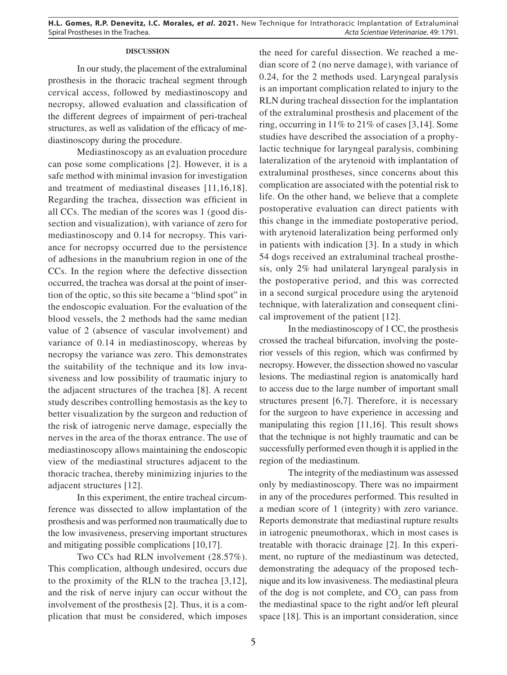## **DISCUSSION**

In our study, the placement of the extraluminal prosthesis in the thoracic tracheal segment through cervical access, followed by mediastinoscopy and necropsy, allowed evaluation and classification of the different degrees of impairment of peri-tracheal structures, as well as validation of the efficacy of mediastinoscopy during the procedure.

Mediastinoscopy as an evaluation procedure can pose some complications [2]. However, it is a safe method with minimal invasion for investigation and treatment of mediastinal diseases [11,16,18]. Regarding the trachea, dissection was efficient in all CCs. The median of the scores was 1 (good dissection and visualization), with variance of zero for mediastinoscopy and 0.14 for necropsy. This variance for necropsy occurred due to the persistence of adhesions in the manubrium region in one of the CCs. In the region where the defective dissection occurred, the trachea was dorsal at the point of insertion of the optic, so this site became a "blind spot" in the endoscopic evaluation. For the evaluation of the blood vessels, the 2 methods had the same median value of 2 (absence of vascular involvement) and variance of 0.14 in mediastinoscopy, whereas by necropsy the variance was zero. This demonstrates the suitability of the technique and its low invasiveness and low possibility of traumatic injury to the adjacent structures of the trachea [8]. A recent study describes controlling hemostasis as the key to better visualization by the surgeon and reduction of the risk of iatrogenic nerve damage, especially the nerves in the area of the thorax entrance. The use of mediastinoscopy allows maintaining the endoscopic view of the mediastinal structures adjacent to the thoracic trachea, thereby minimizing injuries to the adjacent structures [12].

In this experiment, the entire tracheal circumference was dissected to allow implantation of the prosthesis and was performed non traumatically due to the low invasiveness, preserving important structures and mitigating possible complications [10,17].

Two CCs had RLN involvement (28.57%). This complication, although undesired, occurs due to the proximity of the RLN to the trachea [3,12], and the risk of nerve injury can occur without the involvement of the prosthesis [2]. Thus, it is a complication that must be considered, which imposes the need for careful dissection. We reached a median score of 2 (no nerve damage), with variance of 0.24, for the 2 methods used. Laryngeal paralysis is an important complication related to injury to the RLN during tracheal dissection for the implantation of the extraluminal prosthesis and placement of the ring, occurring in 11% to 21% of cases [3,14]. Some studies have described the association of a prophylactic technique for laryngeal paralysis, combining lateralization of the arytenoid with implantation of extraluminal prostheses, since concerns about this complication are associated with the potential risk to life. On the other hand, we believe that a complete postoperative evaluation can direct patients with this change in the immediate postoperative period, with arytenoid lateralization being performed only in patients with indication [3]. In a study in which 54 dogs received an extraluminal tracheal prosthesis, only 2% had unilateral laryngeal paralysis in the postoperative period, and this was corrected in a second surgical procedure using the arytenoid technique, with lateralization and consequent clinical improvement of the patient [12].

In the mediastinoscopy of 1 CC, the prosthesis crossed the tracheal bifurcation, involving the posterior vessels of this region, which was confirmed by necropsy. However, the dissection showed no vascular lesions. The mediastinal region is anatomically hard to access due to the large number of important small structures present [6,7]. Therefore, it is necessary for the surgeon to have experience in accessing and manipulating this region [11,16]. This result shows that the technique is not highly traumatic and can be successfully performed even though it is applied in the region of the mediastinum.

The integrity of the mediastinum was assessed only by mediastinoscopy. There was no impairment in any of the procedures performed. This resulted in a median score of 1 (integrity) with zero variance. Reports demonstrate that mediastinal rupture results in iatrogenic pneumothorax, which in most cases is treatable with thoracic drainage [2]. In this experiment, no rupture of the mediastinum was detected, demonstrating the adequacy of the proposed technique and its low invasiveness. The mediastinal pleura of the dog is not complete, and  $CO<sub>2</sub>$  can pass from the mediastinal space to the right and/or left pleural space [18]. This is an important consideration, since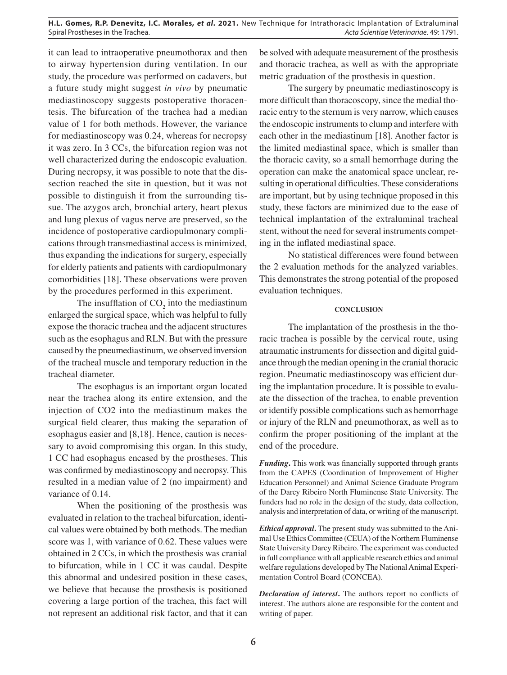it can lead to intraoperative pneumothorax and then to airway hypertension during ventilation. In our study, the procedure was performed on cadavers, but a future study might suggest *in vivo* by pneumatic mediastinoscopy suggests postoperative thoracentesis. The bifurcation of the trachea had a median value of 1 for both methods. However, the variance for mediastinoscopy was 0.24, whereas for necropsy it was zero. In 3 CCs, the bifurcation region was not well characterized during the endoscopic evaluation. During necropsy, it was possible to note that the dissection reached the site in question, but it was not possible to distinguish it from the surrounding tissue. The azygos arch, bronchial artery, heart plexus and lung plexus of vagus nerve are preserved, so the incidence of postoperative cardiopulmonary complications through transmediastinal access is minimized, thus expanding the indications for surgery, especially for elderly patients and patients with cardiopulmonary comorbidities [18]. These observations were proven by the procedures performed in this experiment.

The insufflation of  $CO<sub>2</sub>$  into the mediastinum enlarged the surgical space, which was helpful to fully expose the thoracic trachea and the adjacent structures such as the esophagus and RLN. But with the pressure caused by the pneumediastinum, we observed inversion of the tracheal muscle and temporary reduction in the tracheal diameter.

The esophagus is an important organ located near the trachea along its entire extension, and the injection of CO2 into the mediastinum makes the surgical field clearer, thus making the separation of esophagus easier and [8,18]. Hence, caution is necessary to avoid compromising this organ. In this study, 1 CC had esophagus encased by the prostheses. This was confirmed by mediastinoscopy and necropsy. This resulted in a median value of 2 (no impairment) and variance of 0.14.

When the positioning of the prosthesis was evaluated in relation to the tracheal bifurcation, identical values were obtained by both methods. The median score was 1, with variance of 0.62. These values were obtained in 2 CCs, in which the prosthesis was cranial to bifurcation, while in 1 CC it was caudal. Despite this abnormal and undesired position in these cases, we believe that because the prosthesis is positioned covering a large portion of the trachea, this fact will not represent an additional risk factor, and that it can

be solved with adequate measurement of the prosthesis and thoracic trachea, as well as with the appropriate metric graduation of the prosthesis in question.

The surgery by pneumatic mediastinoscopy is more difficult than thoracoscopy, since the medial thoracic entry to the sternum is very narrow, which causes the endoscopic instruments to clump and interfere with each other in the mediastinum [18]. Another factor is the limited mediastinal space, which is smaller than the thoracic cavity, so a small hemorrhage during the operation can make the anatomical space unclear, resulting in operational difficulties. These considerations are important, but by using technique proposed in this study, these factors are minimized due to the ease of technical implantation of the extraluminal tracheal stent, without the need for several instruments competing in the inflated mediastinal space.

No statistical differences were found between the 2 evaluation methods for the analyzed variables. This demonstrates the strong potential of the proposed evaluation techniques.

# **CONCLUSION**

The implantation of the prosthesis in the thoracic trachea is possible by the cervical route, using atraumatic instruments for dissection and digital guidance through the median opening in the cranial thoracic region. Pneumatic mediastinoscopy was efficient during the implantation procedure. It is possible to evaluate the dissection of the trachea, to enable prevention or identify possible complications such as hemorrhage or injury of the RLN and pneumothorax, as well as to confirm the proper positioning of the implant at the end of the procedure.

*Funding*. This work was financially supported through grants from the CAPES (Coordination of Improvement of Higher Education Personnel) and Animal Science Graduate Program of the Darcy Ribeiro North Fluminense State University. The funders had no role in the design of the study, data collection, analysis and interpretation of data, or writing of the manuscript.

*Ethical approval***.** The present study was submitted to the Animal Use Ethics Committee (CEUA) of the Northern Fluminense State University Darcy Ribeiro. The experiment was conducted in full compliance with all applicable research ethics and animal welfare regulations developed by The National Animal Experimentation Control Board (CONCEA).

*Declaration of interest***.** The authors report no conflicts of interest. The authors alone are responsible for the content and writing of paper.